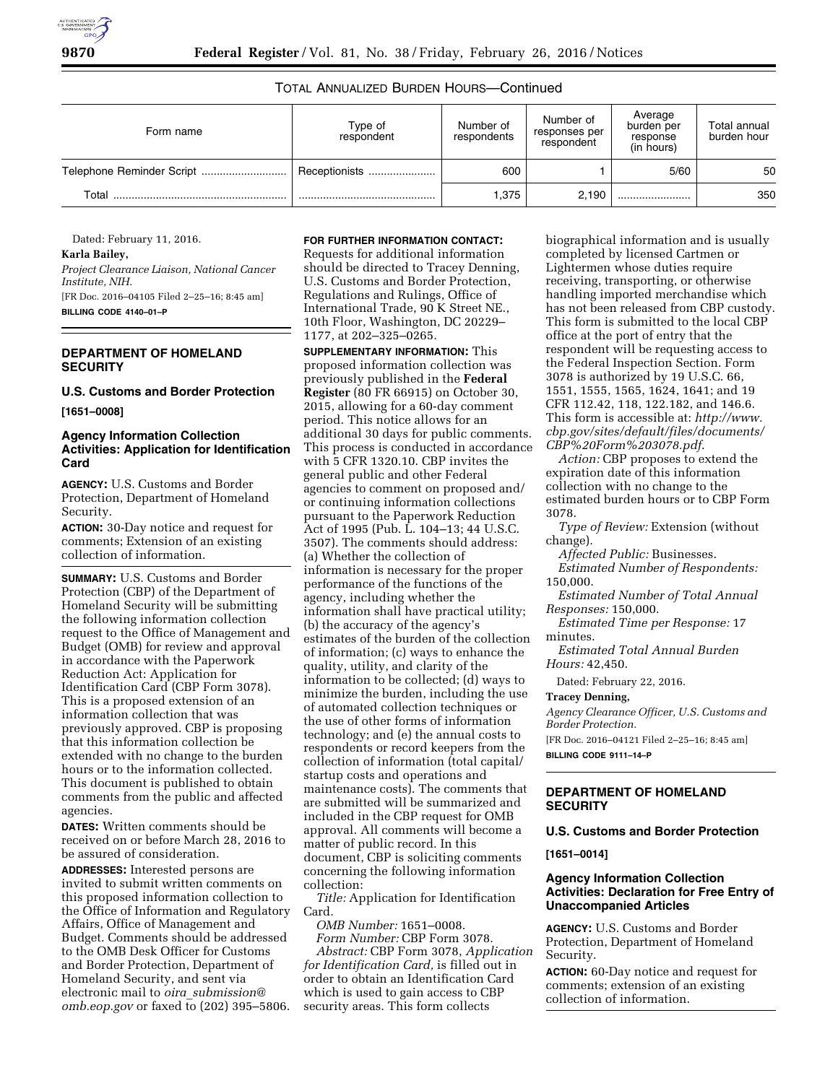# TOTAL ANNUALIZED BURDEN HOURS—Continued

| Form name | Type of<br>respondent | Number of<br>respondents | Number of<br>responses per<br>respondent | Average<br>burden per<br>response<br>(in hours) | Total annual<br>burden hour |
|-----------|-----------------------|--------------------------|------------------------------------------|-------------------------------------------------|-----------------------------|
|           | Receptionists         | 600                      |                                          | 5/60                                            | 50                          |
| Total     |                       | 1,375                    | 2.190                                    |                                                 | 350                         |

Dated: February 11, 2016.

# **Karla Bailey,**

*Project Clearance Liaison, National Cancer Institute, NIH.* 

[FR Doc. 2016–04105 Filed 2–25–16; 8:45 am] **BILLING CODE 4140–01–P** 

### **DEPARTMENT OF HOMELAND SECURITY**

**U.S. Customs and Border Protection [1651–0008]** 

# **Agency Information Collection Activities: Application for Identification Card**

**AGENCY:** U.S. Customs and Border Protection, Department of Homeland Security.

**ACTION:** 30-Day notice and request for comments; Extension of an existing collection of information.

**SUMMARY:** U.S. Customs and Border Protection (CBP) of the Department of Homeland Security will be submitting the following information collection request to the Office of Management and Budget (OMB) for review and approval in accordance with the Paperwork Reduction Act: Application for Identification Card (CBP Form 3078). This is a proposed extension of an information collection that was previously approved. CBP is proposing that this information collection be extended with no change to the burden hours or to the information collected. This document is published to obtain comments from the public and affected agencies.

**DATES:** Written comments should be received on or before March 28, 2016 to be assured of consideration. **ADDRESSES:** Interested persons are invited to submit written comments on this proposed information collection to the Office of Information and Regulatory Affairs, Office of Management and Budget. Comments should be addressed to the OMB Desk Officer for Customs and Border Protection, Department of Homeland Security, and sent via electronic mail to *oira*\_*[submission@](mailto:oira_submission@omb.eop.gov) [omb.eop.gov](mailto:oira_submission@omb.eop.gov)* or faxed to (202) 395–5806.

#### **FOR FURTHER INFORMATION CONTACT:**

Requests for additional information should be directed to Tracey Denning, U.S. Customs and Border Protection, Regulations and Rulings, Office of International Trade, 90 K Street NE., 10th Floor, Washington, DC 20229– 1177, at 202–325–0265.

**SUPPLEMENTARY INFORMATION:** This proposed information collection was previously published in the **Federal Register** (80 FR 66915) on October 30, 2015, allowing for a 60-day comment period. This notice allows for an additional 30 days for public comments. This process is conducted in accordance with 5 CFR 1320.10. CBP invites the general public and other Federal agencies to comment on proposed and/ or continuing information collections pursuant to the Paperwork Reduction Act of 1995 (Pub. L. 104–13; 44 U.S.C. 3507). The comments should address: (a) Whether the collection of information is necessary for the proper performance of the functions of the agency, including whether the information shall have practical utility; (b) the accuracy of the agency's estimates of the burden of the collection of information; (c) ways to enhance the quality, utility, and clarity of the information to be collected; (d) ways to minimize the burden, including the use of automated collection techniques or the use of other forms of information technology; and (e) the annual costs to respondents or record keepers from the collection of information (total capital/ startup costs and operations and maintenance costs). The comments that are submitted will be summarized and included in the CBP request for OMB approval. All comments will become a matter of public record. In this document, CBP is soliciting comments concerning the following information collection:

*Title:* Application for Identification Card.

*OMB Number:* 1651–0008. *Form Number:* CBP Form 3078.

*Abstract:* CBP Form 3078, *Application for Identification Card,* is filled out in order to obtain an Identification Card which is used to gain access to CBP security areas. This form collects

biographical information and is usually completed by licensed Cartmen or Lightermen whose duties require receiving, transporting, or otherwise handling imported merchandise which has not been released from CBP custody. This form is submitted to the local CBP office at the port of entry that the respondent will be requesting access to the Federal Inspection Section. Form 3078 is authorized by 19 U.S.C. 66, 1551, 1555, 1565, 1624, 1641; and 19 CFR 112.42, 118, 122.182, and 146.6. This form is accessible at: *[http://www.](http://www.cbp.gov/sites/default/files/documents/CBP%20Form%203078.pdf) [cbp.gov/sites/default/files/documents/](http://www.cbp.gov/sites/default/files/documents/CBP%20Form%203078.pdf) [CBP%20Form%203078.pdf](http://www.cbp.gov/sites/default/files/documents/CBP%20Form%203078.pdf)*.

*Action:* CBP proposes to extend the expiration date of this information collection with no change to the estimated burden hours or to CBP Form 3078.

*Type of Review:* Extension (without change).

*Affected Public:* Businesses.

*Estimated Number of Respondents:*  150,000.

*Estimated Number of Total Annual Responses:* 150,000.

*Estimated Time per Response:* 17 minutes.

*Estimated Total Annual Burden Hours:* 42,450.

Dated: February 22, 2016.

# **Tracey Denning,**

*Agency Clearance Officer, U.S. Customs and Border Protection.* 

[FR Doc. 2016–04121 Filed 2–25–16; 8:45 am] **BILLING CODE 9111–14–P** 

## **DEPARTMENT OF HOMELAND SECURITY**

**U.S. Customs and Border Protection** 

**[1651–0014]** 

### **Agency Information Collection Activities: Declaration for Free Entry of Unaccompanied Articles**

**AGENCY:** U.S. Customs and Border Protection, Department of Homeland Security.

**ACTION:** 60-Day notice and request for comments; extension of an existing collection of information.